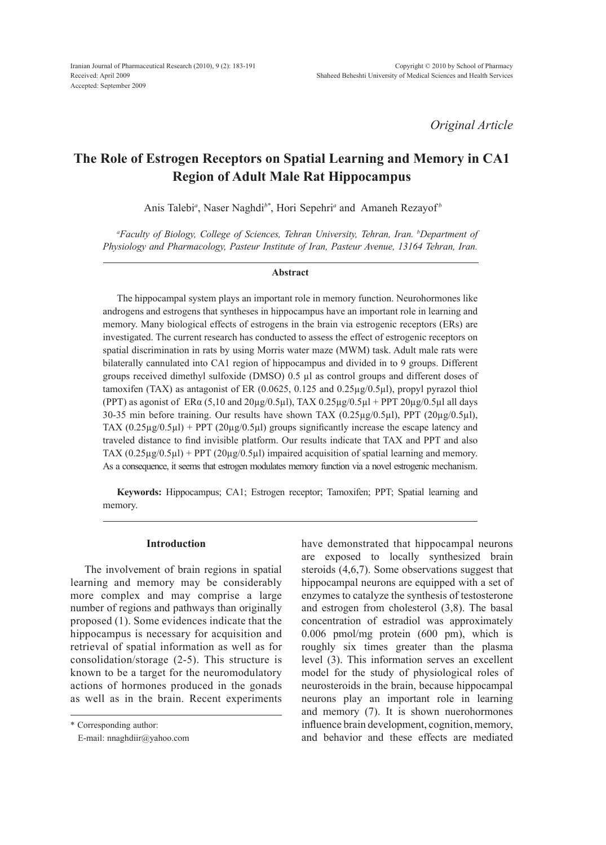*Original Article*

# **The Role of Estrogen Receptors on Spatial Learning and Memory in CA1 Region of Adult Male Rat Hippocampus**

Anis Talebi<sup>*a*</sup>, Naser Naghdi<sup>b\*</sup>, Hori Sepehri<sup>*a*</sup> and Amaneh Rezayof<sup>*b*</sup>

*a Faculty of Biology, College of Sciences, Tehran University, Tehran, Iran. b Department of Physiology and Pharmacology, Pasteur Institute of Iran, Pasteur Avenue, 13164 Tehran, Iran.*

#### **Abstract**

The hippocampal system plays an important role in memory function. Neurohormones like androgens and estrogens that syntheses in hippocampus have an important role in learning and memory. Many biological effects of estrogens in the brain via estrogenic receptors (ERs) are investigated. The current research has conducted to assess the effect of estrogenic receptors on spatial discrimination in rats by using Morris water maze (MWM) task. Adult male rats were bilaterally cannulated into CA1 region of hippocampus and divided in to 9 groups. Different groups received dimethyl sulfoxide (DMSO) 0.5 µl as control groups and different doses of tamoxifen (TAX) as antagonist of ER  $(0.0625, 0.125, 0.125)$  and  $(0.25\mu g/0.5\mu I)$ , propyl pyrazol thiol (PPT) as agonist of  $ER\alpha$  (5,10 and  $20\mu g/0.5\mu I$ ), TAX 0.25 $\mu g/0.5\mu I$  + PPT 20 $\mu g/0.5\mu I$  all days 30-35 min before training. Our results have shown TAX  $(0.25\mu g/0.5\mu l)$ , PPT  $(20\mu g/0.5\mu l)$ , TAX  $(0.25\mu\text{g}/0.5\mu\text{l})$  + PPT  $(20\mu\text{g}/0.5\mu\text{l})$  groups significantly increase the escape latency and traveled distance to find invisible platform. Our results indicate that TAX and PPT and also TAX  $(0.25\mu g/0.5\mu l)$  + PPT  $(20\mu g/0.5\mu l)$  impaired acquisition of spatial learning and memory. As a consequence, it seems that estrogen modulates memory function via a novel estrogenic mechanism.

**Keywords:** Hippocampus; CA1; Estrogen receptor; Tamoxifen; PPT; Spatial learning and memory.

## **Introduction**

The involvement of brain regions in spatial learning and memory may be considerably more complex and may comprise a large number of regions and pathways than originally proposed (1). Some evidences indicate that the hippocampus is necessary for acquisition and retrieval of spatial information as well as for consolidation/storage (2-5). This structure is known to be a target for the neuromodulatory actions of hormones produced in the gonads as well as in the brain. Recent experiments have demonstrated that hippocampal neurons are exposed to locally synthesized brain steroids (4,6,7). Some observations suggest that hippocampal neurons are equipped with a set of enzymes to catalyze the synthesis of testosterone and estrogen from cholesterol (3,8). The basal concentration of estradiol was approximately 0.006 pmol/mg protein (600 pm), which is roughly six times greater than the plasma level (3). This information serves an excellent model for the study of physiological roles of neurosteroids in the brain, because hippocampal neurons play an important role in learning and memory (7). It is shown nuerohormones influence brain development, cognition, memory, and behavior and these effects are mediated

<sup>\*</sup> Corresponding author:

E-mail: nnaghdiir@yahoo.com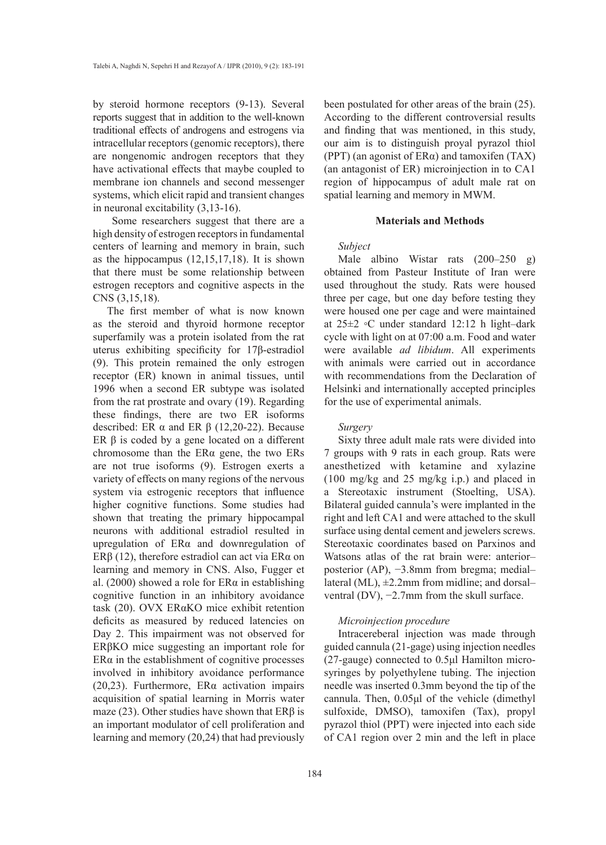by steroid hormone receptors (9-13). Several reports suggest that in addition to the well-known traditional effects of androgens and estrogens via intracellular receptors (genomic receptors), there are nongenomic androgen receptors that they have activational effects that maybe coupled to membrane ion channels and second messenger systems, which elicit rapid and transient changes in neuronal excitability (3,13-16).

 Some researchers suggest that there are a high density of estrogen receptors in fundamental centers of learning and memory in brain, such as the hippocampus (12,15,17,18). It is shown that there must be some relationship between estrogen receptors and cognitive aspects in the CNS (3,15,18).

The first member of what is now known as the steroid and thyroid hormone receptor superfamily was a protein isolated from the rat uterus exhibiting specificity for 17β-estradiol (9). This protein remained the only estrogen receptor (ER) known in animal tissues, until 1996 when a second ER subtype was isolated from the rat prostrate and ovary (19). Regarding these findings, there are two ER isoforms described: ER  $\alpha$  and ER  $\beta$  (12,20-22). Because ER  $β$  is coded by a gene located on a different chromosome than the ERα gene, the two ERs are not true isoforms (9). Estrogen exerts a variety of effects on many regions of the nervous system via estrogenic receptors that influence higher cognitive functions. Some studies had shown that treating the primary hippocampal neurons with additional estradiol resulted in upregulation of ERα and downregulation of ERβ (12), therefore estradiol can act via ERα on learning and memory in CNS. Also, Fugger et al. (2000) showed a role for  $ER\alpha$  in establishing cognitive function in an inhibitory avoidance task (20). OVX ERαKO mice exhibit retention deficits as measured by reduced latencies on Day 2. This impairment was not observed for ERβKO mice suggesting an important role for  $ER\alpha$  in the establishment of cognitive processes involved in inhibitory avoidance performance (20,23). Furthermore, ERα activation impairs acquisition of spatial learning in Morris water maze (23). Other studies have shown that  $ER\beta$  is an important modulator of cell proliferation and learning and memory (20,24) that had previously

been postulated for other areas of the brain (25). According to the different controversial results and finding that was mentioned, in this study, our aim is to distinguish proyal pyrazol thiol (PPT) (an agonist of  $ER\alpha$ ) and tamoxifen (TAX) (an antagonist of ER) microinjection in to CA1 region of hippocampus of adult male rat on spatial learning and memory in MWM.

#### **Materials and Methods**

#### *Subject*

Male albino Wistar rats (200–250 g) obtained from Pasteur Institute of Iran were used throughout the study. Rats were housed three per cage, but one day before testing they were housed one per cage and were maintained at 25±2 ◦C under standard 12:12 h light–dark cycle with light on at 07:00 a.m. Food and water were available *ad libidum*. All experiments with animals were carried out in accordance with recommendations from the Declaration of Helsinki and internationally accepted principles for the use of experimental animals.

#### *Surgery*

Sixty three adult male rats were divided into 7 groups with 9 rats in each group. Rats were anesthetized with ketamine and xylazine (100 mg/kg and 25 mg/kg i.p.) and placed in a Stereotaxic instrument (Stoelting, USA). Bilateral guided cannula's were implanted in the right and left CA1 and were attached to the skull surface using dental cement and jewelers screws. Stereotaxic coordinates based on Parxinos and Watsons atlas of the rat brain were: anterior– posterior (AP), −3.8mm from bregma; medial– lateral (ML),  $\pm$ 2.2mm from midline; and dorsal– ventral (DV), −2.7mm from the skull surface.

#### *Microinjection procedure*

Intracereberal injection was made through guided cannula (21-gage) using injection needles (27-gauge) connected to 0.5μl Hamilton microsyringes by polyethylene tubing. The injection needle was inserted 0.3mm beyond the tip of the cannula. Then, 0.05μl of the vehicle (dimethyl sulfoxide, DMSO), tamoxifen (Tax), propyl pyrazol thiol (PPT) were injected into each side of CA1 region over 2 min and the left in place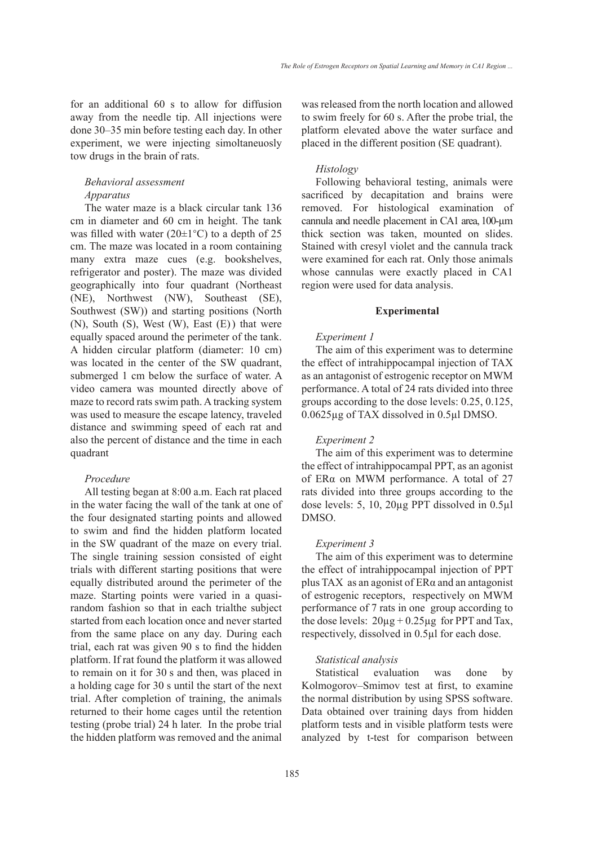for an additional 60 s to allow for diffusion away from the needle tip. All injections were done 30–35 min before testing each day. In other experiment, we were injecting simoltaneuosly tow drugs in the brain of rats.

## *Behavioral assessment Apparatus*

The water maze is a black circular tank 136 cm in diameter and 60 cm in height. The tank was filled with water (20 $\pm$ 1<sup>°</sup>C) to a depth of 25 cm. The maze was located in a room containing many extra maze cues (e.g. bookshelves, refrigerator and poster). The maze was divided geographically into four quadrant (Northeast (NE), Northwest (NW), Southeast (SE), Southwest (SW)) and starting positions (North (N), South (S), West (W), East (E) ) that were equally spaced around the perimeter of the tank. A hidden circular platform (diameter: 10 cm) was located in the center of the SW quadrant, submerged 1 cm below the surface of water. A video camera was mounted directly above of maze to record rats swim path. A tracking system was used to measure the escape latency, traveled distance and swimming speed of each rat and also the percent of distance and the time in each quadrant

## *Procedure*

All testing began at 8:00 a.m. Each rat placed in the water facing the wall of the tank at one of the four designated starting points and allowed to swim and find the hidden platform located in the SW quadrant of the maze on every trial. The single training session consisted of eight trials with different starting positions that were equally distributed around the perimeter of the maze. Starting points were varied in a quasirandom fashion so that in each trialthe subject started from each location once and never started from the same place on any day. During each trial, each rat was given 90 s to find the hidden platform. If rat found the platform it was allowed to remain on it for 30 s and then, was placed in a holding cage for 30 s until the start of the next trial. After completion of training, the animals returned to their home cages until the retention testing (probe trial) 24 h later. In the probe trial the hidden platform was removed and the animal

was released from the north location and allowed to swim freely for 60 s. After the probe trial, the platform elevated above the water surface and placed in the different position (SE quadrant).

## *Histology*

Following behavioral testing, animals were sacrificed by decapitation and brains were removed. For histological examination of cannula and needle placement in CA1 area, 100-μm thick section was taken, mounted on slides. Stained with cresyl violet and the cannula track were examined for each rat. Only those animals whose cannulas were exactly placed in CA1 region were used for data analysis.

#### **Experimental**

#### *Experiment 1*

The aim of this experiment was to determine the effect of intrahippocampal injection of TAX as an antagonist of estrogenic receptor on MWM performance. A total of 24 rats divided into three groups according to the dose levels: 0.25, 0.125, 0.0625µg of TAX dissolved in 0.5µl DMSO.

#### *Experiment 2*

The aim of this experiment was to determine the effect of intrahippocampal PPT, as an agonist of ERα on MWM performance. A total of 27 rats divided into three groups according to the dose levels: 5, 10, 20µg PPT dissolved in 0.5µl DMSO.

#### *Experiment 3*

The aim of this experiment was to determine the effect of intrahippocampal injection of PPT plus TAX as an agonist of ERα and an antagonist of estrogenic receptors, respectively on MWM performance of 7 rats in one group according to the dose levels:  $20\mu g + 0.25\mu g$  for PPT and Tax, respectively, dissolved in 0.5µl for each dose.

#### *Statistical analysis*

Statistical evaluation was done by Kolmogorov–Smimov test at first, to examine the normal distribution by using SPSS software. Data obtained over training days from hidden platform tests and in visible platform tests were analyzed by t-test for comparison between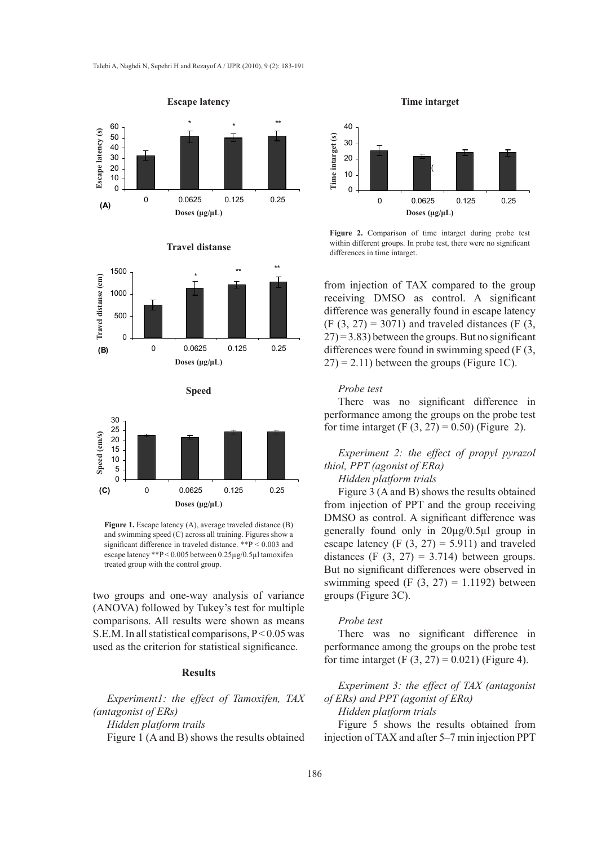





$$
\operatorname{\textbf{Speed}}
$$



**Figure 1.** Escape latency (A), average traveled distance (B) and swimming speed (C) across all training. Figures show a significant difference in traveled distance. \*\*P < 0.003 and escape latency \*\*P < 0.005 between 0.25µg/0.5µl tamoxifen treated group with the control group.

two groups and one-way analysis of variance (ANOVA) followed by Tukey's test for multiple comparisons. All results were shown as means S.E.M. In all statistical comparisons, P < 0.05 was used as the criterion for statistical significance.

## **Results**

*Experiment1: the effect of Tamoxifen, TAX (antagonist of ERs) Hidden platform trails* Figure 1 (A and B) shows the results obtained





**Figure 2.** Comparison of time intarget during probe test within different groups. In probe test, there were no significant differences in time intarget.

from injection of TAX compared to the group receiving DMSO as control. A significant difference was generally found in escape latency  $(F (3, 27) = 3071)$  and traveled distances  $(F (3, 27))$  $27$ ) = 3.83) between the groups. But no significant differences were found in swimming speed (F (3,  $27$ ) = 2.11) between the groups (Figure 1C).

#### *Probe test*

There was no significant difference in performance among the groups on the probe test for time intarget (F  $(3, 27) = 0.50$ ) (Figure 2).

*Experiment 2: the effect of propyl pyrazol thiol, PPT (agonist of ERα)*

## *Hidden platform trials*

Figure 3 (A and B) shows the results obtained from injection of PPT and the group receiving DMSO as control. A significant difference was generally found only in 20µg/0.5µl group in escape latency (F  $(3, 27) = 5.911$ ) and traveled distances (F  $(3, 27) = 3.714$ ) between groups. But no significant differences were observed in swimming speed  $(F (3, 27) = 1.1192)$  between groups (Figure 3C).

## *Probe test*

There was no significant difference in performance among the groups on the probe test for time intarget (F  $(3, 27) = 0.021$ ) (Figure 4).

## *Experiment 3: the effect of TAX (antagonist of ERs) and PPT (agonist of ERα)*

*Hidden platform trials*

Figure 5 shows the results obtained from injection of TAX and after 5–7 min injection PPT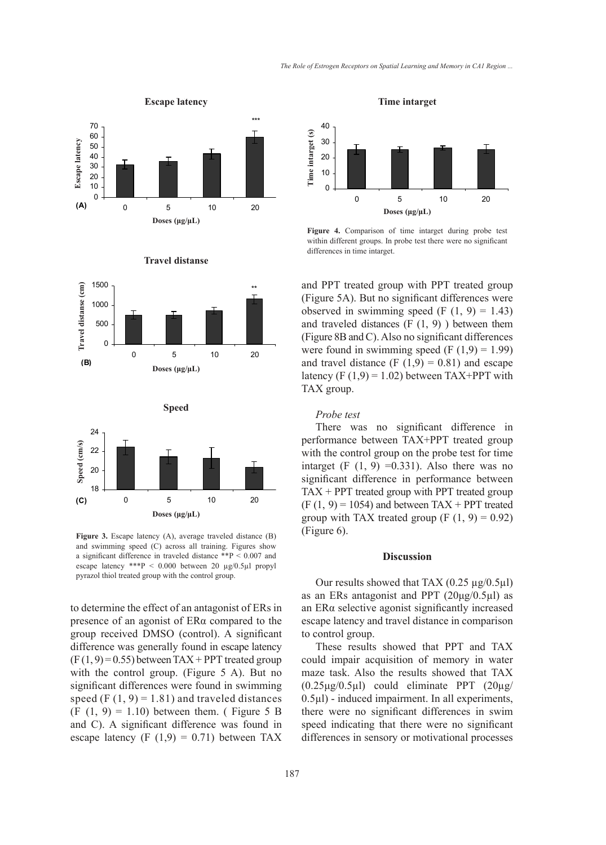

#### 1500 **Travel distanse(cm)** Travel distanse (cm) **Travel distanse (cm)** \*\* 1000 500 0 0 5 10 20 **(B) Doses(µg/µl) Doses (μg/μL)**

**Travel distanse Travel distanse**



Figure 3. Escape latency (A), average traveled distance (B) and swimming speed (C) across all training. Figures show a significant difference in traveled distance \*\*P < 0.007 and escape latency \*\*\*P < 0.000 between 20 µg/0.5µl propyl pyrazol thiol treated group with the control group.

to determine the effect of an antagonist of ERs in presence of an agonist of ERα compared to the group received DMSO (control). A significant difference was generally found in escape latency  $(F(1, 9) = 0.55)$  between TAX + PPT treated group with the control group. (Figure 5 A). But no significant differences were found in swimming speed (F  $(1, 9) = 1.81$ ) and traveled distances  $(F (1, 9) = 1.10)$  between them. (Figure 5 B) and C). A significant difference was found in escape latency (F  $(1,9) = 0.71$ ) between TAX **Time intarget Time intarget**



**Figure 4.** Comparison of time intarget during probe test within different groups. In probe test there were no significant differences in time intarget.

and PPT treated group with PPT treated group (Figure 5A). But no significant differences were observed in swimming speed  $(F (1, 9) = 1.43)$ and traveled distances  $(F(1, 9))$  between them (Figure 8B and C). Also no significant differences were found in swimming speed  $(F (1, 9) = 1.99)$ and travel distance  $(F (1, 9) = 0.81)$  and escape latency  $(F (1, 9) = 1.02)$  between TAX+PPT with TAX group.

#### *Probe test*

There was no significant difference in performance between TAX+PPT treated group with the control group on the probe test for time intarget  $(F (1, 9) = 0.331)$ . Also there was no significant difference in performance between  $TAX + PPT$  treated group with PPT treated group  $(F (1, 9) = 1054)$  and between TAX + PPT treated group with TAX treated group  $(F (1, 9) = 0.92)$ (Figure 6).

#### **Discussion**

Our results showed that TAX  $(0.25 \mu g/0.5 \mu l)$ as an ERs antagonist and PPT  $(20\mu g/0.5\mu l)$  as an ERα selective agonist significantly increased escape latency and travel distance in comparison to control group.

These results showed that PPT and TAX could impair acquisition of memory in water maze task. Also the results showed that TAX  $(0.25\mu g/0.5\mu l)$  could eliminate PPT  $(20\mu g/$  $0.5\mu$ l) - induced impairment. In all experiments, there were no significant differences in swim speed indicating that there were no significant differences in sensory or motivational processes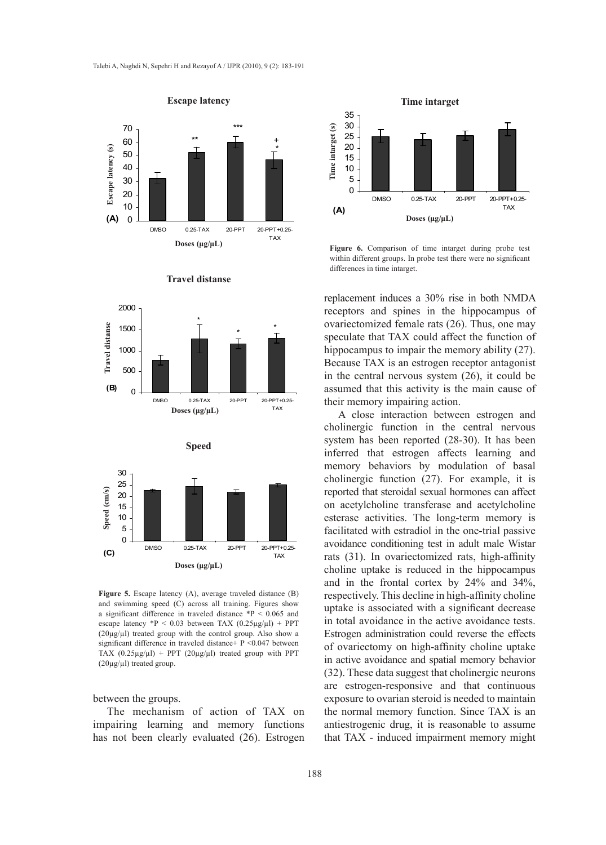



**Travel distanse Travel distanse Travel distanse**

**Figure 5.** Escape latency (A), average traveled distance (B) and swimming speed (C) across all training. Figures show a significant difference in traveled distance  $*P < 0.065$  and escape latency  ${}^*P$  < 0.03 between TAX (0.25µg/µl) + PPT (20µg/µl) treated group with the control group. Also show a significant difference in traveled distance+ P <0.047 between TAX  $(0.25\mu g/\mu l)$  + PPT  $(20\mu g/\mu l)$  treated group with PPT  $(20\mu g/\mu l)$  treated group.

#### between the groups.

The mechanism of action of TAX on impairing learning and memory functions has not been clearly evaluated (26). Estrogen



**Figure 6.** Comparison of time intarget during probe test within different groups. In probe test there were no significant differences in time intarget.

replacement induces a 30% rise in both NMDA receptors and spines in the hippocampus of ovariectomized female rats (26). Thus, one may speculate that TAX could affect the function of hippocampus to impair the memory ability (27). Because TAX is an estrogen receptor antagonist in the central nervous system (26), it could be assumed that this activity is the main cause of their memory impairing action.

A close interaction between estrogen and cholinergic function in the central nervous system has been reported (28-30). It has been inferred that estrogen affects learning and memory behaviors by modulation of basal cholinergic function (27). For example, it is reported that steroidal sexual hormones can affect on acetylcholine transferase and acetylcholine esterase activities. The long-term memory is facilitated with estradiol in the one-trial passive avoidance conditioning test in adult male Wistar rats (31). In ovariectomized rats, high-affinity choline uptake is reduced in the hippocampus and in the frontal cortex by 24% and 34%, respectively. This decline in high-affinity choline uptake is associated with a significant decrease in total avoidance in the active avoidance tests. Estrogen administration could reverse the effects of ovariectomy on high-affinity choline uptake in active avoidance and spatial memory behavior (32). These data suggest that cholinergic neurons are estrogen-responsive and that continuous exposure to ovarian steroid is needed to maintain the normal memory function. Since TAX is an antiestrogenic drug, it is reasonable to assume that TAX - induced impairment memory might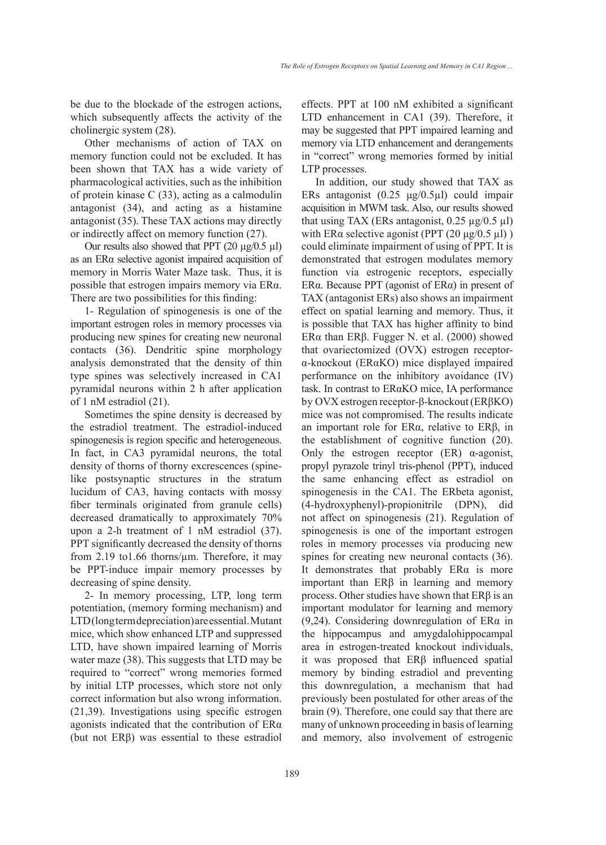be due to the blockade of the estrogen actions, which subsequently affects the activity of the cholinergic system (28).

Other mechanisms of action of TAX on memory function could not be excluded. It has been shown that TAX has a wide variety of pharmacological activities, such as the inhibition of protein kinase C (33), acting as a calmodulin antagonist (34), and acting as a histamine antagonist (35). These TAX actions may directly or indirectly affect on memory function (27).

Our results also showed that PPT  $(20 \mu g/0.5 \mu l)$ as an ERα selective agonist impaired acquisition of memory in Morris Water Maze task. Thus, it is possible that estrogen impairs memory via ERα. There are two possibilities for this finding:

1- Regulation of spinogenesis is one of the important estrogen roles in memory processes via producing new spines for creating new neuronal contacts (36). Dendritic spine morphology analysis demonstrated that the density of thin type spines was selectively increased in CA1 pyramidal neurons within 2 h after application of 1 nM estradiol (21).

Sometimes the spine density is decreased by the estradiol treatment. The estradiol-induced spinogenesis is region specific and heterogeneous. In fact, in CA3 pyramidal neurons, the total density of thorns of thorny excrescences (spinelike postsynaptic structures in the stratum lucidum of CA3, having contacts with mossy fiber terminals originated from granule cells) decreased dramatically to approximately 70% upon a 2-h treatment of 1 nM estradiol (37). PPT significantly decreased the density of thorns from 2.19 to1.66 thorns/µm. Therefore, it may be PPT-induce impair memory processes by decreasing of spine density.

2- In memory processing, LTP, long term potentiation, (memory forming mechanism) and LTD (long term depreciation) are essential. Mutant mice, which show enhanced LTP and suppressed LTD, have shown impaired learning of Morris water maze (38). This suggests that LTD may be required to "correct" wrong memories formed by initial LTP processes, which store not only correct information but also wrong information. (21,39). Investigations using specific estrogen agonists indicated that the contribution of ERα (but not ERβ) was essential to these estradiol effects. PPT at 100 nM exhibited a significant LTD enhancement in CA1 (39). Therefore, it may be suggested that PPT impaired learning and memory via LTD enhancement and derangements in "correct" wrong memories formed by initial LTP processes.

In addition, our study showed that TAX as ERs antagonist (0.25 μg/0.5µl) could impair acquisition in MWM task. Also, our results showed that using TAX (ERs antagonist,  $0.25 \mu g / 0.5 \mu l$ ) with ER $\alpha$  selective agonist (PPT (20  $\mu$ g/0.5  $\mu$ l)) could eliminate impairment of using of PPT. It is demonstrated that estrogen modulates memory function via estrogenic receptors, especially ERα. Because PPT (agonist of ERα) in present of TAX (antagonist ERs) also shows an impairment effect on spatial learning and memory. Thus, it is possible that TAX has higher affinity to bind ERα than ERβ. Fugger N. et al. (2000) showed that ovariectomized (OVX) estrogen receptorα-knockout (ERαKO) mice displayed impaired performance on the inhibitory avoidance (IV) task. In contrast to ERαKO mice, IA performance by OVX estrogen receptor-β-knockout (ERβKO) mice was not compromised. The results indicate an important role for ERα, relative to ERβ, in the establishment of cognitive function (20). Only the estrogen receptor  $(ER)$  α-agonist, propyl pyrazole trinyl tris-phenol (PPT), induced the same enhancing effect as estradiol on spinogenesis in the CA1. The ERbeta agonist, (4-hydroxyphenyl)-propionitrile (DPN), did not affect on spinogenesis (21). Regulation of spinogenesis is one of the important estrogen roles in memory processes via producing new spines for creating new neuronal contacts  $(36)$ . It demonstrates that probably  $ER\alpha$  is more important than ERβ in learning and memory process. Other studies have shown that ERβ is an important modulator for learning and memory (9,24). Considering downregulation of ERα in the hippocampus and amygdalohippocampal area in estrogen-treated knockout individuals, it was proposed that ERβ influenced spatial memory by binding estradiol and preventing this downregulation, a mechanism that had previously been postulated for other areas of the brain (9). Therefore, one could say that there are many of unknown proceeding in basis of learning and memory, also involvement of estrogenic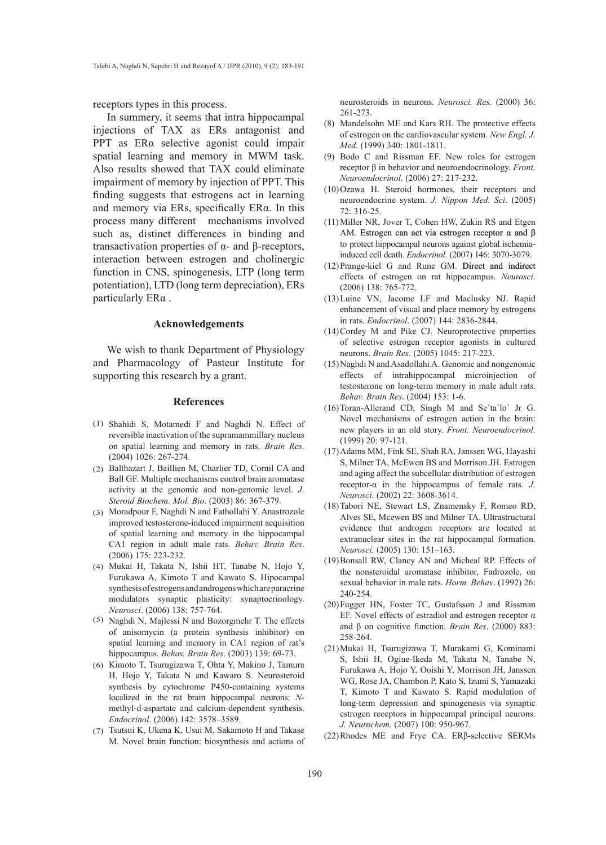receptors types in this process.

In summery, it seems that intra hippocampal injections of TAX as ERs antagonist and PPT as ERα selective agonist could impair spatial learning and memory in MWM task. Also results showed that TAX could eliminate impairment of memory by injection of PPT. This finding suggests that estrogens act in learning and memory via ERs, specifically ERα. In this process many different mechanisms involved such as, distinct differences in binding and transactivation properties of α- and β-receptors, interaction between estrogen and cholinergic function in CNS, spinogenesis, LTP (long term potentiation), LTD (long term depreciation), ERs particularly ERα .

#### **Acknowledgements**

We wish to thank Department of Physiology and Pharmacology of Pasteur Institute for supporting this research by a grant.

#### **References**

- (1) Shahidi S, Motamedi F and Naghdi N. Effect of reversible inactivation of the supramammillary nucleus on spatial learning and memory in rats. *Brain Res.* (2004) 1026: 267-274.
- Balthazart J, Baillien M, Charlier TD, Cornil CA and (2) Ball GF. Multiple mechanisms control brain aromatase activity at the genomic and non-genomic level. *J. Steroid Biochem. Mol. Bio*. (2003) 86: 367-379.
- (3) Moradpour F, Naghdi N and Fathollahi Y. Anastrozole improved testosterone-induced impairment acquisition of spatial learning and memory in the hippocampal CA1 region in adult male rats. *Behav. Brain Res*. (2006) 175: 223-232.
- Mukai H, Takata N, Ishii HT, Tanabe N, Hojo Y, (4) Furukawa A, Kimoto T and Kawato S. Hipocampal synthesis of estrogens and androgens which are paracrine modulators synaptic plasticity: synaptocrinology. *Neurosci*. (2006) 138: 757-764.
- (5) Naghdi N, Majlessi N and Bozorgmehr T. The effects of anisomycin (a protein synthesis inhibitor) on spatial learning and memory in CA1 region of rat's hippocampus. *Behav. Brain Res*. (2003) 139: 69-73.
- (6) Kimoto T, Tsurugizawa T, Ohta Y, Makino J, Tamura H, Hojo Y, Takata N and Kawaro S. Neurosteroid synthesis by cytochrome P450-containing systems localized in the rat brain hippocampal neurons: *N*methyl-d-aspartate and calcium-dependent synthesis. *Endocrinol*. (2006) 142: 3578–3589.
- (7) Tsutsui K, Ukena K, Usui M, Sakamoto H and Takase M. Novel brain function: biosynthesis and actions of

neurosteroids in neurons. *Neurosci. Res*. (2000) 36: 261-273.

- Mandelsohn ME and Kars RH. The protective effects (8) of estrogen on the cardiovascular system*. New Engl. J. Med*. (1999) 340: 1801-1811.
- Bodo C and Rissman EF. New roles for estrogen (9) receptor β in behavior and neuroendocrinology. *Front. Neuroendocrinol*. (2006) 27: 217-232.
- $(10)$ Ozawa H. Steroid hormones, their receptors and neuroendocrine system. *J. Nippon Med. Sci*. (2005) 72: 316-25.
- $(11)$  Miller NR, Jover T, Cohen HW, Zukin RS and Etgen AM. Estrogen can act via estrogen receptor  $\alpha$  and  $\beta$ to protect hippocampal neurons against global ischemiainduced cell death. *Endocrinol*. (2007) 146: 3070-3079.
- $(12)$ Prange-kiel G and Rune GM. Direct and indirect effects of estrogen on rat hippocampus. *Neurosci*. (2006) 138: 765-772.
- (13) Luine VN, Jacome LF and Maclusky NJ. Rapid enhancement of visual and place memory by estrogens in rats. *Endocrinol*. (2007) 144: 2836-2844.
- $(14)$  Cordey M and Pike CJ. Neuroprotective properties of selective estrogen receptor agonists in cultured neurons. *Brain Res*. (2005) 1045: 217-223.
- Naghdi N and Asadollahi A. Genomic and nongenomic (15) effects of intrahippocampal microinjection of testosterone on long-term memory in male adult rats. *Behav. Brain Res*. (2004) 153: 1-6.
- $(16)$  Toran-Allerand CD, Singh M and Se'ta'lo' Jr G. Novel mechanisms of estrogen action in the brain: new players in an old story. *Front. Neuroendocrinol.* (1999) 20: 97-121.
- (17) Adams MM, Fink SE, Shah RA, Janssen WG, Hayashi S, Milner TA, McEwen BS and Morrison JH. Estrogen and aging affect the subcellular distribution of estrogen receptor-α in the hippocampus of female rats. *J. Neurosci*. (2002) 22: 3608-3614.
- (18) Tabori NE, Stewart LS, Znamensky F, Romeo RD, Alves SE, Mcewen BS and Milner TA. Ultrastructural evidence that androgen receptors are located at extranuclear sites in the rat hippocampal formation. *Neurosci.* (2005) 130: 151–163.
- (19) Bonsall RW, Clancy AN and Micheal RP. Effects of the nonsteroidal aromatase inhibitor, Fadrozole, on sexual behavior in male rats. *Horm. Behav*. (1992) 26: 240-254.
- (20) Fugger HN, Foster TC, Gustafsson J and Rissman EF. Novel effects of estradiol and estrogen receptor α and β on cognitive function. *Brain Res*. (2000) 883: 258-264.
- Mukai H, Tsurugizawa T, Murakami G, Kominami (21) S, Ishii H, Ogiue-Ikeda M, Takata N, Tanabe N, Furukawa A, Hojo Y, Ooishi Y, Morrison JH, Janssen WG, Rose JA, Chambon P, Kato S, Izumi S, Yamazaki T, Kimoto T and Kawato S. Rapid modulation of long-term depression and spinogenesis via synaptic estrogen receptors in hippocampal principal neurons. *J. Neurochem.* (2007) 100: 950-967.
- $(22)$ Rhodes ME and Frye CA. ER $\beta$ -selective SERMs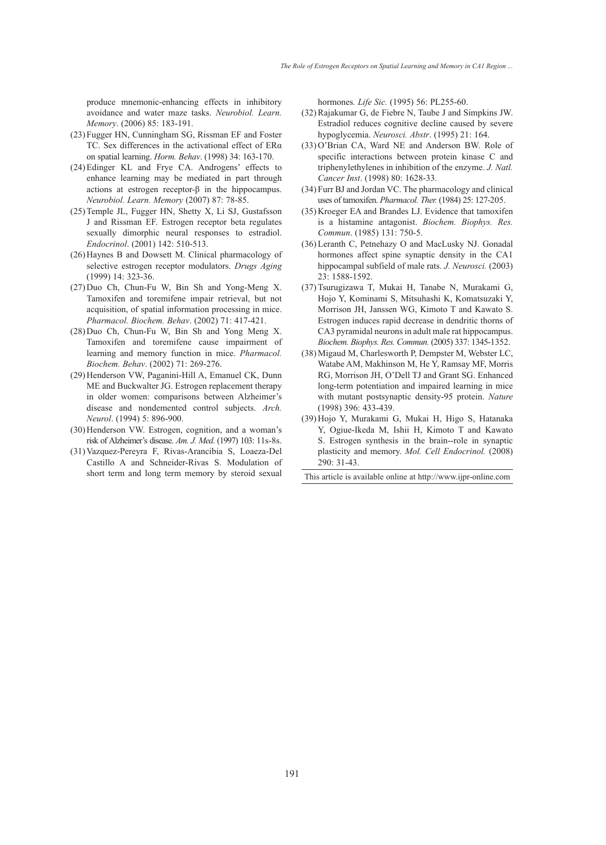produce mnemonic-enhancing effects in inhibitory avoidance and water maze tasks. *Neurobiol. Learn. Memory*. (2006) 85: 183-191.

- (23) Fugger HN, Cunningham SG, Rissman EF and Foster TC. Sex differences in the activational effect of ERα on spatial learning. *Horm. Behav*. (1998) 34: 163-170.
- Edinger KL and Frye CA. Androgens' effects to (24) enhance learning may be mediated in part through actions at estrogen receptor-β in the hippocampus. *Neurobiol. Learn. Memory* (2007) 87: 78-85.
- (25) Temple JL, Fugger HN, Shetty X, Li SJ, Gustafsson J and Rissman EF. Estrogen receptor beta regulates sexually dimorphic neural responses to estradiol. *Endocrinol*. (2001) 142: 510-513.
- $(26)$  Haynes B and Dowsett M. Clinical pharmacology of selective estrogen receptor modulators. *Drugs Aging* (1999) 14: 323-36.
- $(27)$  Duo Ch, Chun-Fu W, Bin Sh and Yong-Meng X. Tamoxifen and toremifene impair retrieval, but not acquisition, of spatial information processing in mice. *Pharmacol. Biochem. Behav*. (2002) 71: 417-421.
- $(28)$  Duo Ch, Chun-Fu W, Bin Sh and Yong Meng X. Tamoxifen and toremifene cause impairment of learning and memory function in mice. *Pharmacol. Biochem. Behav*. (2002) 71: 269-276.
- (29) Henderson VW, Paganini-Hill A, Emanuel CK, Dunn ME and Buckwalter JG. Estrogen replacement therapy in older women: comparisons between Alzheimer's disease and nondemented control subjects. *Arch. Neurol*. (1994) 5: 896-900.
- (30) Henderson VW. Estrogen, cognition, and a woman's risk of Alzheimer's disease. *Am. J. Med*. (1997) 103: 11s-8s.
- Vazquez-Pereyra F, Rivas-Arancibia S, Loaeza-Del (31) Castillo A and Schneider-Rivas S. Modulation of short term and long term memory by steroid sexual

hormones*. Life Sic.* (1995) 56: PL255-60.

- $(32)$  Rajakumar G, de Fiebre N, Taube J and Simpkins JW. Estradiol reduces cognitive decline caused by severe hypoglycemia. *Neurosci. Abstr*. (1995) 21: 164.
- $(33)$  O'Brian CA, Ward NE and Anderson BW. Role of specific interactions between protein kinase C and triphenylethylenes in inhibition of the enzyme. *J. Natl. Cancer Inst*. (1998) 80: 1628-33.
- Furr BJ and Jordan VC. The pharmacology and clinical (34) uses of tamoxifen. *Pharmacol. Ther.* (1984) 25: 127-205.
- (35) Kroeger EA and Brandes LJ. Evidence that tamoxifen is a histamine antagonist. *Biochem. Biophys. Res. Commun*. (1985) 131: 750-5.
- Leranth C, Petnehazy O and MacLusky NJ. Gonadal (36) hormones affect spine synaptic density in the CA1 hippocampal subfield of male rats. *J. Neurosci.* (2003) 23: 1588-1592.
- (37) Tsurugizawa T, Mukai H, Tanabe N, Murakami G, Hojo Y, Kominami S, Mitsuhashi K, Komatsuzaki Y, Morrison JH, Janssen WG, Kimoto T and Kawato S. Estrogen induces rapid decrease in dendritic thorns of CA3 pyramidal neurons in adult male rat hippocampus. *Biochem. Biophys. Res. Commun.* (2005) 337: 1345-1352.
- (38) Migaud M, Charlesworth P, Dempster M, Webster LC, Watabe AM, Makhinson M, He Y, Ramsay MF, Morris RG, Morrison JH, O'Dell TJ and Grant SG. Enhanced long-term potentiation and impaired learning in mice with mutant postsynaptic density-95 protein. *Nature* (1998) 396: 433-439.
- (39) Hojo Y, Murakami G, Mukai H, Higo S, Hatanaka Y, Ogiue-Ikeda M, Ishii H, Kimoto T and Kawato S. Estrogen synthesis in the brain--role in synaptic plasticity and memory. *Mol. Cell Endocrinol.* (2008) 290: 31-43.
- This article is available online at http://www.ijpr-online.com